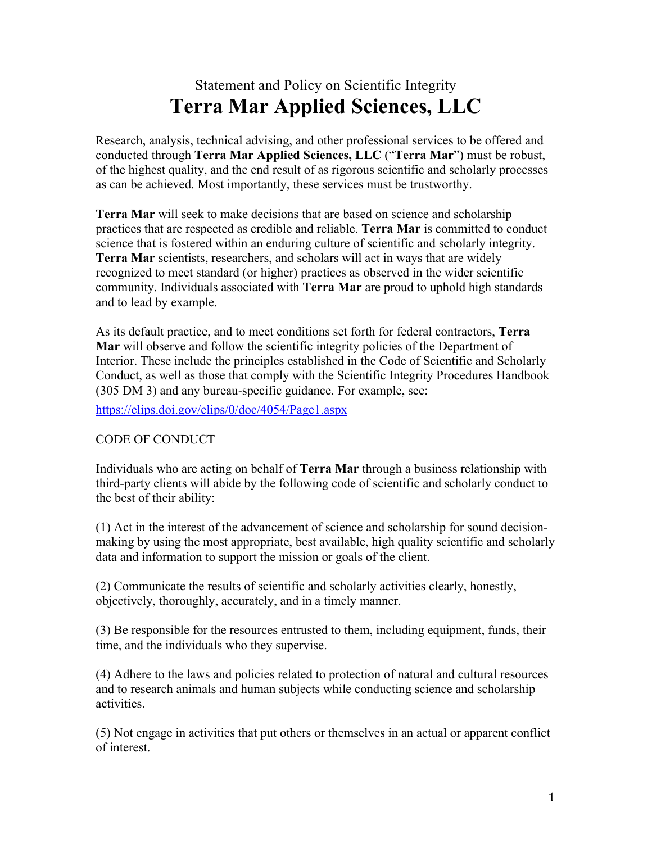## Statement and Policy on Scientific Integrity **Terra Mar Applied Sciences, LLC**

Research, analysis, technical advising, and other professional services to be offered and conducted through **Terra Mar Applied Sciences, LLC** ("**Terra Mar**") must be robust, of the highest quality, and the end result of as rigorous scientific and scholarly processes as can be achieved. Most importantly, these services must be trustworthy.

**Terra Mar** will seek to make decisions that are based on science and scholarship practices that are respected as credible and reliable. **Terra Mar** is committed to conduct science that is fostered within an enduring culture of scientific and scholarly integrity. **Terra Mar** scientists, researchers, and scholars will act in ways that are widely recognized to meet standard (or higher) practices as observed in the wider scientific community. Individuals associated with **Terra Mar** are proud to uphold high standards and to lead by example.

As its default practice, and to meet conditions set forth for federal contractors, **Terra Mar** will observe and follow the scientific integrity policies of the Department of Interior. These include the principles established in the Code of Scientific and Scholarly Conduct, as well as those that comply with the Scientific Integrity Procedures Handbook (305 DM 3) and any bureau‐specific guidance. For example, see:

https://elips.doi.gov/elips/0/doc/4054/Page1.aspx

## CODE OF CONDUCT

Individuals who are acting on behalf of **Terra Mar** through a business relationship with third-party clients will abide by the following code of scientific and scholarly conduct to the best of their ability:

(1) Act in the interest of the advancement of science and scholarship for sound decisionmaking by using the most appropriate, best available, high quality scientific and scholarly data and information to support the mission or goals of the client.

(2) Communicate the results of scientific and scholarly activities clearly, honestly, objectively, thoroughly, accurately, and in a timely manner.

(3) Be responsible for the resources entrusted to them, including equipment, funds, their time, and the individuals who they supervise.

(4) Adhere to the laws and policies related to protection of natural and cultural resources and to research animals and human subjects while conducting science and scholarship activities.

(5) Not engage in activities that put others or themselves in an actual or apparent conflict of interest.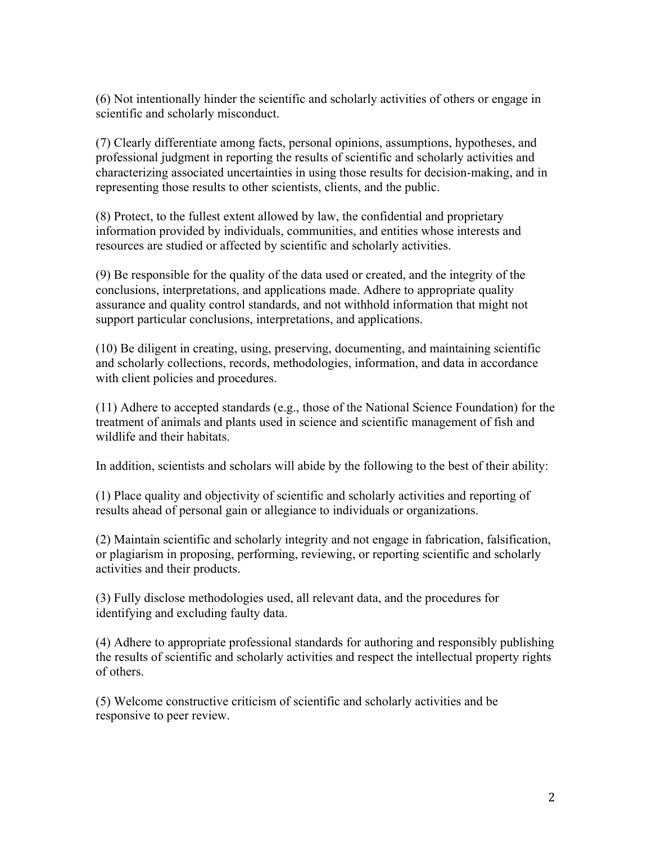(6) Not intentionally hinder the scientific and scholarly activities of others or engage in scientific and scholarly misconduct.

(7) Clearly differentiate among facts, personal opinions, assumptions, hypotheses, and professional judgment in reporting the results of scientific and scholarly activities and characterizing associated uncertainties in using those results for decision-making, and in representing those results to other scientists, clients, and the public.

(8) Protect, to the fullest extent allowed by law, the confidential and proprietary information provided by individuals, communities, and entities whose interests and resources are studied or affected by scientific and scholarly activities.

(9) Be responsible for the quality of the data used or created, and the integrity of the conclusions, interpretations, and applications made. Adhere to appropriate quality assurance and quality control standards, and not withhold information that might not support particular conclusions, interpretations, and applications.

(10) Be diligent in creating, using, preserving, documenting, and maintaining scientific and scholarly collections, records, methodologies, information, and data in accordance with client policies and procedures.

(11) Adhere to accepted standards (e.g., those of the National Science Foundation) for the treatment of animals and plants used in science and scientific management of fish and wildlife and their habitats.

In addition, scientists and scholars will abide by the following to the best of their ability:

(1) Place quality and objectivity of scientific and scholarly activities and reporting of results ahead of personal gain or allegiance to individuals or organizations.

(2) Maintain scientific and scholarly integrity and not engage in fabrication, falsification, or plagiarism in proposing, performing, reviewing, or reporting scientific and scholarly activities and their products.

(3) Fully disclose methodologies used, all relevant data, and the procedures for identifying and excluding faulty data.

(4) Adhere to appropriate professional standards for authoring and responsibly publishing the results of scientific and scholarly activities and respect the intellectual property rights of others.

(5) Welcome constructive criticism of scientific and scholarly activities and be responsive to peer review.